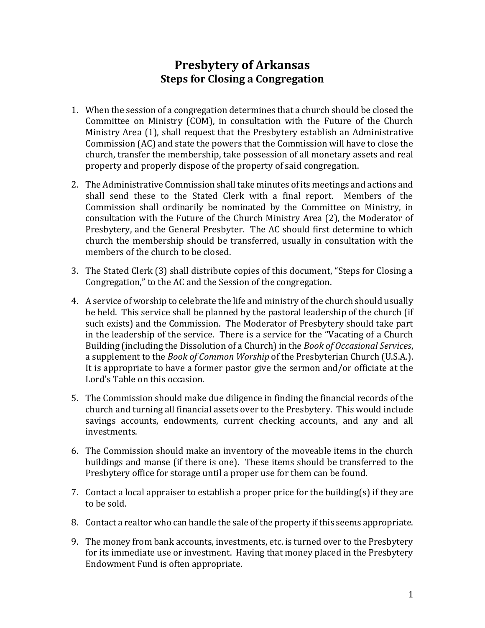## **Presbytery of Arkansas Steps for Closing a Congregation**

- 1. When the session of a congregation determines that a church should be closed the Committee on Ministry (COM), in consultation with the Future of the Church Ministry Area (1), shall request that the Presbytery establish an Administrative Commission (AC) and state the powers that the Commission will have to close the church, transfer the membership, take possession of all monetary assets and real property and properly dispose of the property of said congregation.
- 2. The Administrative Commission shall take minutes of its meetings and actions and shall send these to the Stated Clerk with a final report. Members of the Commission shall ordinarily be nominated by the Committee on Ministry, in consultation with the Future of the Church Ministry Area (2), the Moderator of Presbytery, and the General Presbyter. The AC should first determine to which church the membership should be transferred, usually in consultation with the members of the church to be closed.
- 3. The Stated Clerk (3) shall distribute copies of this document, "Steps for Closing a Congregation," to the AC and the Session of the congregation.
- 4. A service of worship to celebrate the life and ministry of the church should usually be held. This service shall be planned by the pastoral leadership of the church (if such exists) and the Commission. The Moderator of Presbytery should take part in the leadership of the service. There is a service for the "Vacating of a Church Building (including the Dissolution of a Church) in the *Book of Occasional Services*, a supplement to the *Book of Common Worship* of the Presbyterian Church (U.S.A.). It is appropriate to have a former pastor give the sermon and/or officiate at the Lord's Table on this occasion.
- 5. The Commission should make due diligence in finding the financial records of the church and turning all financial assets over to the Presbytery. This would include savings accounts, endowments, current checking accounts, and any and all investments.
- 6. The Commission should make an inventory of the moveable items in the church buildings and manse (if there is one). These items should be transferred to the Presbytery office for storage until a proper use for them can be found.
- 7. Contact a local appraiser to establish a proper price for the building(s) if they are to be sold.
- 8. Contact a realtor who can handle the sale of the property if this seems appropriate.
- 9. The money from bank accounts, investments, etc. is turned over to the Presbytery for its immediate use or investment. Having that money placed in the Presbytery Endowment Fund is often appropriate.